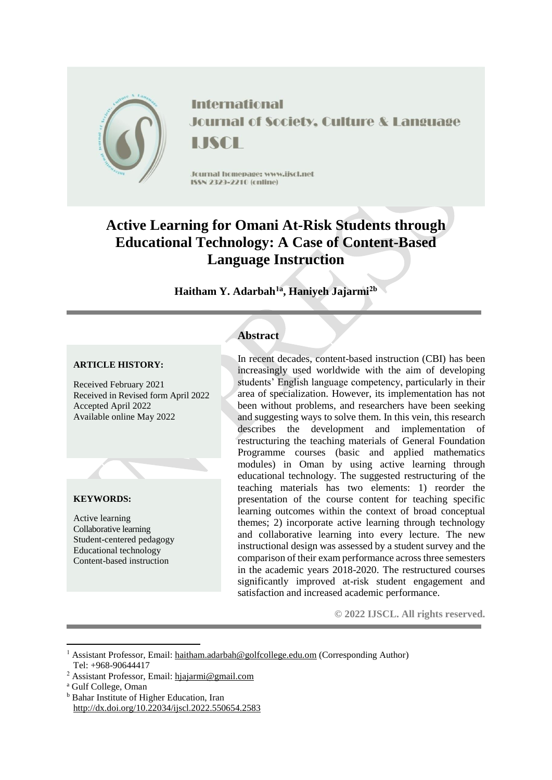

**International Journal of Society, Culture & Language LISCE** 

Journal homepage: www.jiscl.net ISSN 2329-2210 (cnline)

# **Active Learning for Omani At-Risk Students through Educational Technology: A Case of Content-Based Language Instruction**

# **Haitham Y. Adarbah1a , Haniyeh Jajarmi2b**

# **ARTICLE HISTORY:**

Received February 2021 Received in Revised form April 2022 Accepted April 2022 Available online May 2022

# **KEYWORDS:**

Active learning Collaborative learning Student-centered pedagogy Educational technology Content-based instruction

# **Abstract**

In recent decades, content-based instruction (CBI) has been increasingly used worldwide with the aim of developing students' English language competency, particularly in their area of specialization. However, its implementation has not been without problems, and researchers have been seeking and suggesting ways to solve them. In this vein, this research describes the development and implementation of restructuring the teaching materials of General Foundation Programme courses (basic and applied mathematics modules) in Oman by using active learning through educational technology. The suggested restructuring of the teaching materials has two elements: 1) reorder the presentation of the course content for teaching specific learning outcomes within the context of broad conceptual themes; 2) incorporate active learning through technology and collaborative learning into every lecture. The new instructional design was assessed by a student survey and the comparison of their exam performance across three semesters in the academic years 2018-2020. The restructured courses significantly improved at-risk student engagement and satisfaction and increased academic performance.

**© 2022 IJSCL. All rights reserved.**

1

<sup>b</sup> Bahar Institute of Higher Education, Iran http://dx.doi.org/10.22034/ijscl.2022.550654.2583

<sup>1</sup> Assistant Professor, Email: [haitham.adarbah@golfcollege.edu.om](mailto:haitham.adarbah@golfcollege.edu.om) (Corresponding Author) Tel: +968-90644417

<sup>2</sup> Assistant Professor, Email: [hjajarmi@gmail.com](mailto:hjajarmi@gmail.com)

<sup>a</sup> Gulf College, Oman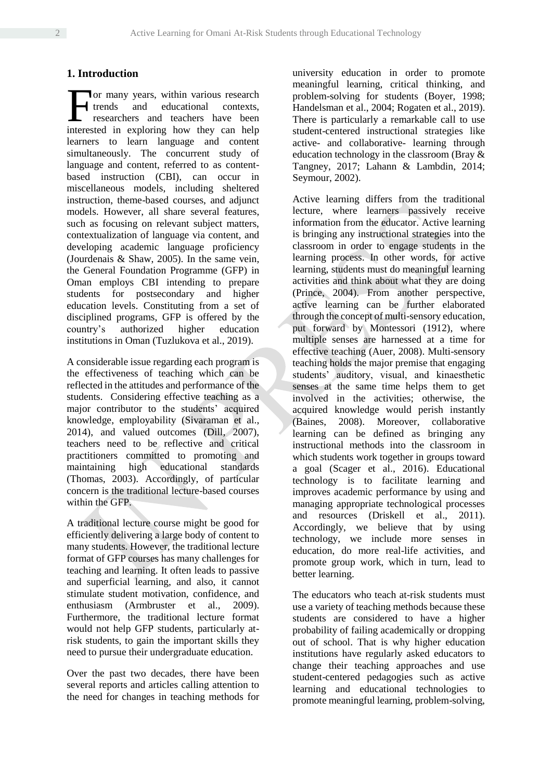# **1. Introduction**

or many years, within various research trends and educational contexts, researchers and teachers have been For many years, within various research<br>trends and educational contexts, researchers and teachers have been<br>interested in exploring how they can help learners to learn language and content simultaneously. The concurrent study of language and content, referred to as contentbased instruction (CBI), can occur in miscellaneous models, including sheltered instruction, theme-based courses, and adjunct models. However, all share several features, such as focusing on relevant subject matters, contextualization of language via content, and developing academic language proficiency (Jourdenais & Shaw, 2005). In the same vein, the General Foundation Programme (GFP) in Oman employs CBI intending to prepare students for postsecondary and higher education levels. Constituting from a set of disciplined programs, GFP is offered by the country's authorized higher education institutions in Oman (Tuzlukova et al., 2019).

A considerable issue regarding each program is the effectiveness of teaching which can be reflected in the attitudes and performance of the students. Considering effective teaching as a major contributor to the students' acquired knowledge, employability (Sivaraman et al., 2014), and valued outcomes (Dill, 2007), teachers need to be reflective and critical practitioners committed to promoting and maintaining high educational standards (Thomas, 2003). Accordingly, of particular concern is the traditional lecture-based courses within the GFP.

A traditional lecture course might be good for efficiently delivering a large body of content to many students. However, the traditional lecture format of GFP courses has many challenges for teaching and learning. It often leads to passive and superficial learning, and also, it cannot stimulate student motivation, confidence, and enthusiasm (Armbruster et al., 2009). Furthermore, the traditional lecture format would not help GFP students, particularly atrisk students, to gain the important skills they need to pursue their undergraduate education.

Over the past two decades, there have been several reports and articles calling attention to the need for changes in teaching methods for university education in order to promote meaningful learning, critical thinking, and problem-solving for students (Boyer, 1998; Handelsman et al., 2004; Rogaten et al., 2019). There is particularly a remarkable call to use student-centered instructional strategies like active- and collaborative- learning through education technology in the classroom (Bray & Tangney, 2017; Lahann & Lambdin, 2014; Seymour, 2002).

Active learning differs from the traditional lecture, where learners passively receive information from the educator. Active learning is bringing any instructional strategies into the classroom in order to engage students in the learning process. In other words, for active learning, students must do meaningful learning activities and think about what they are doing (Prince, 2004). From another perspective, active learning can be further elaborated through the concept of multi-sensory education, put forward by Montessori (1912), where multiple senses are harnessed at a time for effective teaching (Auer, 2008). Multi-sensory teaching holds the major premise that engaging students' auditory, visual, and kinaesthetic senses at the same time helps them to get involved in the activities; otherwise, the acquired knowledge would perish instantly (Baines, 2008). Moreover, collaborative learning can be defined as bringing any instructional methods into the classroom in which students work together in groups toward a goal (Scager et al., 2016). Educational technology is to facilitate learning and improves academic performance by using and managing appropriate technological processes and resources (Driskell et al., 2011). Accordingly, we believe that by using technology, we include more senses in education, do more real-life activities, and promote group work, which in turn, lead to better learning.

The educators who teach at-risk students must use a variety of teaching methods because these students are considered to have a higher probability of failing academically or dropping out of school. That is why higher education institutions have regularly asked educators to change their teaching approaches and use student-centered pedagogies such as active learning and educational technologies to promote meaningful learning, problem-solving,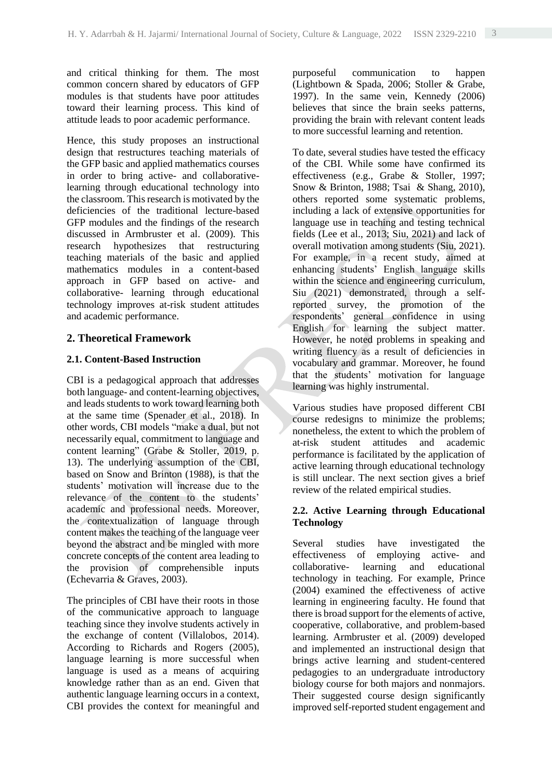and critical thinking for them. The most common concern shared by educators of GFP modules is that students have poor attitudes toward their learning process. This kind of attitude leads to poor academic performance.

Hence, this study proposes an instructional design that restructures teaching materials of the GFP basic and applied mathematics courses in order to bring active- and collaborativelearning through educational technology into the classroom. This research is motivated by the deficiencies of the traditional lecture-based GFP modules and the findings of the research discussed in Armbruster et al. (2009). This research hypothesizes that restructuring teaching materials of the basic and applied mathematics modules in a content-based approach in GFP based on active- and collaborative- learning through educational technology improves at-risk student attitudes and academic performance.

#### **2. Theoretical Framework**

#### **2.1. Content-Based Instruction**

CBI is a pedagogical approach that addresses both language- and content-learning objectives, and leads students to work toward learning both at the same time (Spenader et al., 2018). In other words, CBI models "make a dual, but not necessarily equal, commitment to language and content learning" (Grabe & Stoller, 2019, p. 13). The underlying assumption of the CBI, based on Snow and Brinton (1988), is that the students' motivation will increase due to the relevance of the content to the students' academic and professional needs. Moreover, the contextualization of language through content makes the teaching of the language veer beyond the abstract and be mingled with more concrete concepts of the content area leading to the provision of comprehensible inputs (Echevarria & Graves, 2003).

The principles of CBI have their roots in those of the communicative approach to language teaching since they involve students actively in the exchange of content (Villalobos, 2014). According to Richards and Rogers (2005), language learning is more successful when language is used as a means of acquiring knowledge rather than as an end. Given that authentic language learning occurs in a context, CBI provides the context for meaningful and purposeful communication to happen (Lightbown & Spada, 2006; Stoller & Grabe, 1997). In the same vein, Kennedy (2006) believes that since the brain seeks patterns, providing the brain with relevant content leads to more successful learning and retention.

To date, several studies have tested the efficacy of the CBI. While some have confirmed its effectiveness (e.g., Grabe & Stoller, 1997; Snow & Brinton, 1988; Tsai & Shang, 2010), others reported some systematic problems, including a lack of extensive opportunities for language use in teaching and testing technical fields (Lee et al., 2013; Siu, 2021) and lack of overall motivation among students (Siu, 2021). For example, in a recent study, aimed at enhancing students' English language skills within the science and engineering curriculum. Siu (2021) demonstrated, through a selfreported survey, the promotion of the respondents' general confidence in using English for learning the subject matter. However, he noted problems in speaking and writing fluency as a result of deficiencies in vocabulary and grammar. Moreover, he found that the students' motivation for language learning was highly instrumental.

Various studies have proposed different CBI course redesigns to minimize the problems; nonetheless, the extent to which the problem of at-risk student attitudes and academic performance is facilitated by the application of active learning through educational technology is still unclear. The next section gives a brief review of the related empirical studies.

# **2.2. Active Learning through Educational Technology**

Several studies have investigated the effectiveness of employing active- and collaborative- learning and educational technology in teaching. For example, Prince (2004) examined the effectiveness of active learning in engineering faculty. He found that there is broad support for the elements of active, cooperative, collaborative, and problem-based learning. Armbruster et al. (2009) developed and implemented an instructional design that brings active learning and student-centered pedagogies to an undergraduate introductory biology course for both majors and nonmajors. Their suggested course design significantly improved self-reported student engagement and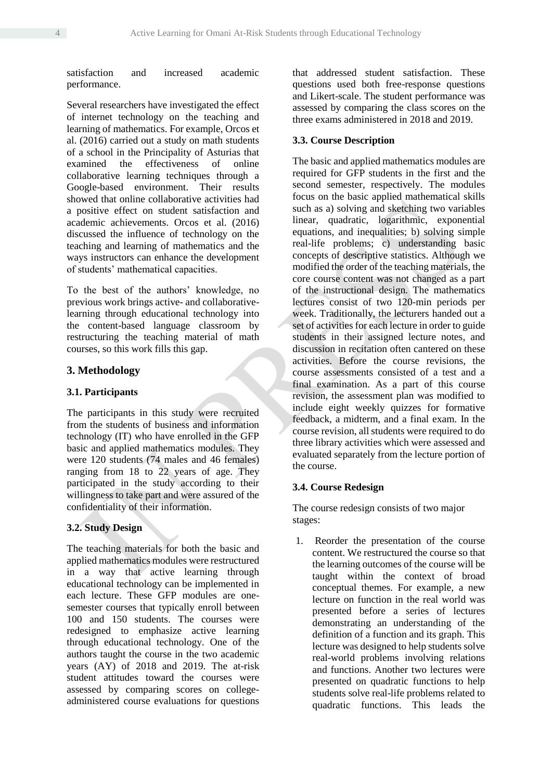satisfaction and increased academic performance.

Several researchers have investigated the effect of internet technology on the teaching and learning of mathematics. For example, Orcos et al. (2016) carried out a study on math students of a school in the Principality of Asturias that examined the effectiveness of online collaborative learning techniques through a Google-based environment. Their results showed that online collaborative activities had a positive effect on student satisfaction and academic achievements. Orcos et al. (2016) discussed the influence of technology on the teaching and learning of mathematics and the ways instructors can enhance the development of students' mathematical capacities.

To the best of the authors' knowledge, no previous work brings active- and collaborativelearning through educational technology into the content-based language classroom by restructuring the teaching material of math courses, so this work fills this gap.

# **3. Methodology**

#### **3.1. Participants**

The participants in this study were recruited from the students of business and information technology (IT) who have enrolled in the GFP basic and applied mathematics modules. They were 120 students (74 males and 46 females) ranging from 18 to 22 years of age. They participated in the study according to their willingness to take part and were assured of the confidentiality of their information.

# **3.2. Study Design**

The teaching materials for both the basic and applied mathematics modules were restructured in a way that active learning through educational technology can be implemented in each lecture. These GFP modules are onesemester courses that typically enroll between 100 and 150 students. The courses were redesigned to emphasize active learning through educational technology. One of the authors taught the course in the two academic years (AY) of 2018 and 2019. The at-risk student attitudes toward the courses were assessed by comparing scores on collegeadministered course evaluations for questions

that addressed student satisfaction. These questions used both free-response questions and Likert-scale. The student performance was assessed by comparing the class scores on the three exams administered in 2018 and 2019.

#### **3.3. Course Description**

The basic and applied mathematics modules are required for GFP students in the first and the second semester, respectively. The modules focus on the basic applied mathematical skills such as a) solving and sketching two variables linear, quadratic, logarithmic, exponential equations, and inequalities; b) solving simple real-life problems; c) understanding basic concepts of descriptive statistics. Although we modified the order of the teaching materials, the core course content was not changed as a part of the instructional design. The mathematics lectures consist of two 120-min periods per week. Traditionally, the lecturers handed out a set of activities for each lecture in order to guide students in their assigned lecture notes, and discussion in recitation often cantered on these activities. Before the course revisions, the course assessments consisted of a test and a final examination. As a part of this course revision, the assessment plan was modified to include eight weekly quizzes for formative feedback, a midterm, and a final exam. In the course revision, all students were required to do three library activities which were assessed and evaluated separately from the lecture portion of the course.

#### **3.4. Course Redesign**

The course redesign consists of two major stages:

1. Reorder the presentation of the course content. We restructured the course so that the learning outcomes of the course will be taught within the context of broad conceptual themes. For example, a new lecture on function in the real world was presented before a series of lectures demonstrating an understanding of the definition of a function and its graph. This lecture was designed to help students solve real-world problems involving relations and functions. Another two lectures were presented on quadratic functions to help students solve real-life problems related to quadratic functions. This leads the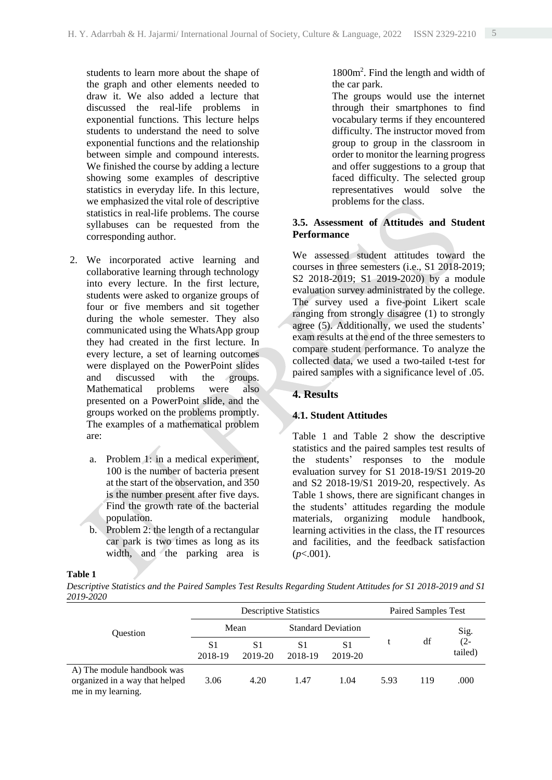students to learn more about the shape of the graph and other elements needed to draw it. We also added a lecture that discussed the real-life problems in exponential functions. This lecture helps students to understand the need to solve exponential functions and the relationship between simple and compound interests. We finished the course by adding a lecture showing some examples of descriptive statistics in everyday life. In this lecture, we emphasized the vital role of descriptive statistics in real-life problems. The course syllabuses can be requested from the corresponding author.

- 2. We incorporated active learning and collaborative learning through technology into every lecture. In the first lecture, students were asked to organize groups of four or five members and sit together during the whole semester. They also communicated using the WhatsApp group they had created in the first lecture. In every lecture, a set of learning outcomes were displayed on the PowerPoint slides and discussed with the groups. Mathematical problems were also presented on a PowerPoint slide, and the groups worked on the problems promptly. The examples of a mathematical problem are:
	- a. Problem 1: in a medical experiment, 100 is the number of bacteria present at the start of the observation, and 350 is the number present after five days. Find the growth rate of the bacterial population.
	- b. Problem 2: the length of a rectangular car park is two times as long as its width, and the parking area is

1800m<sup>2</sup> . Find the length and width of the car park.

The groups would use the internet through their smartphones to find vocabulary terms if they encountered difficulty. The instructor moved from group to group in the classroom in order to monitor the learning progress and offer suggestions to a group that faced difficulty. The selected group representatives would solve the problems for the class.

# **3.5. Assessment of Attitudes and Student Performance**

We assessed student attitudes toward the courses in three semesters (i.e., S1 2018-2019; S2 2018-2019; S1 2019-2020) by a module evaluation survey administrated by the college. The survey used a five-point Likert scale ranging from strongly disagree (1) to strongly agree (5). Additionally, we used the students' exam results at the end of the three semesters to compare student performance. To analyze the collected data, we used a two-tailed t-test for paired samples with a significance level of .05.

#### **4. Results**

#### **4.1. Student Attitudes**

Table 1 and Table 2 show the descriptive statistics and the paired samples test results of the students' responses to the module evaluation survey for S1 2018-19/S1 2019-20 and S2 2018-19/S1 2019-20, respectively. As Table 1 shows, there are significant changes in the students' attitudes regarding the module materials, organizing module handbook, learning activities in the class, the IT resources and facilities, and the feedback satisfaction  $(p<.001)$ .

#### **Table 1**

*Descriptive Statistics and the Paired Samples Test Results Regarding Student Attitudes for S1 2018-2019 and S1 2019-2020*

| <b>Ouestion</b>                                                                    |               | Paired Samples Test |                           |                           |      |     |                   |
|------------------------------------------------------------------------------------|---------------|---------------------|---------------------------|---------------------------|------|-----|-------------------|
|                                                                                    | Mean          |                     | <b>Standard Deviation</b> |                           |      |     | Sig.              |
|                                                                                    | S1<br>2018-19 | S1<br>2019-20       | S1<br>2018-19             | S <sub>1</sub><br>2019-20 |      | df  | $(2 -$<br>tailed) |
| A) The module handbook was<br>organized in a way that helped<br>me in my learning. | 3.06          | 4.20                | 1.47                      | 1.04                      | 5.93 | 119 | .000              |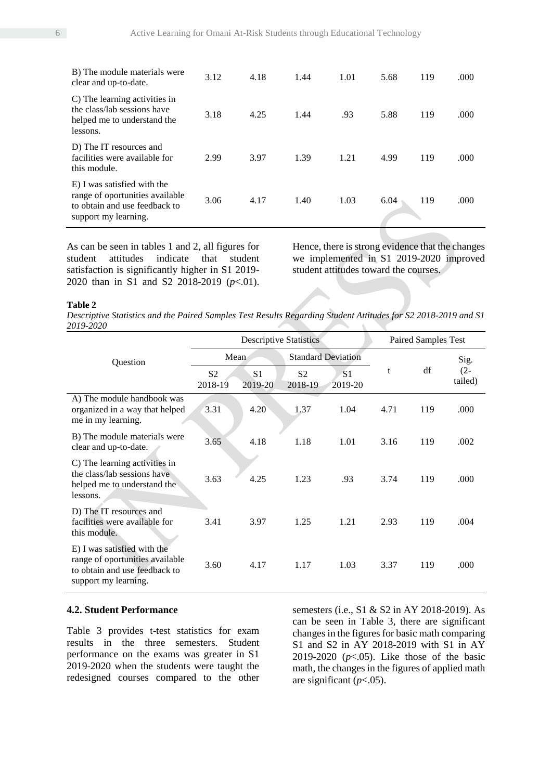| E) I was satisfied with the<br>range of oportunities available<br>to obtain and use feedback to<br>support my learning. | 3.06 | 4.17 | 1.40 | 1.03 | 6.04 | 119 | .000  |
|-------------------------------------------------------------------------------------------------------------------------|------|------|------|------|------|-----|-------|
| D) The IT resources and<br>facilities were available for<br>this module.                                                | 2.99 | 3.97 | 1.39 | 1.21 | 4.99 | 119 | .000  |
| C) The learning activities in<br>the class/lab sessions have<br>helped me to understand the<br>lessons.                 | 3.18 | 4.25 | 1.44 | .93  | 5.88 | 119 | .000. |
| B) The module materials were<br>clear and up-to-date.                                                                   | 3.12 | 4.18 | 1.44 | 1.01 | 5.68 | 119 | .000  |

As can be seen in tables 1 and 2, all figures for student attitudes indicate that student satisfaction is significantly higher in S1 2019- 2020 than in S1 and S2 2018-2019 (*p*<.01). Hence, there is strong evidence that the changes we implemented in S1 2019-2020 improved student attitudes toward the courses.

#### **Table 2**

*Descriptive Statistics and the Paired Samples Test Results Regarding Student Attitudes for S2 2018-2019 and S1 2019-2020*

|                                                                                                                         |                           | Paired Samples Test       |                           |                           |      |     |                   |
|-------------------------------------------------------------------------------------------------------------------------|---------------------------|---------------------------|---------------------------|---------------------------|------|-----|-------------------|
| Question                                                                                                                | Mean                      |                           | <b>Standard Deviation</b> |                           |      |     | Sig.              |
|                                                                                                                         | S <sub>2</sub><br>2018-19 | S <sub>1</sub><br>2019-20 | S <sub>2</sub><br>2018-19 | S <sub>1</sub><br>2019-20 | t    | df  | $(2 -$<br>tailed) |
| A) The module handbook was<br>organized in a way that helped<br>me in my learning.                                      | 3.31                      | 4.20                      | 1.37                      | 1.04                      | 4.71 | 119 | .000              |
| B) The module materials were<br>clear and up-to-date.                                                                   | 3.65                      | 4.18                      | 1.18                      | 1.01                      | 3.16 | 119 | .002              |
| C) The learning activities in<br>the class/lab sessions have<br>helped me to understand the<br>lessons.                 | 3.63                      | 4.25                      | 1.23                      | .93                       | 3.74 | 119 | .000              |
| D) The IT resources and<br>facilities were available for<br>this module.                                                | 3.41                      | 3.97                      | 1.25                      | 1.21                      | 2.93 | 119 | .004              |
| E) I was satisfied with the<br>range of oportunities available<br>to obtain and use feedback to<br>support my learning. | 3.60                      | 4.17                      | 1.17                      | 1.03                      | 3.37 | 119 | .000              |

#### **4.2. Student Performance**

Table 3 provides t-test statistics for exam results in the three semesters. Student performance on the exams was greater in S1 2019-2020 when the students were taught the redesigned courses compared to the other semesters (i.e., S1 & S2 in AY 2018-2019). As can be seen in Table 3, there are significant changes in the figures for basic math comparing S1 and S2 in AY 2018-2019 with S1 in AY 2019-2020 (*p*<.05). Like those of the basic math, the changes in the figures of applied math are significant  $(p<.05)$ .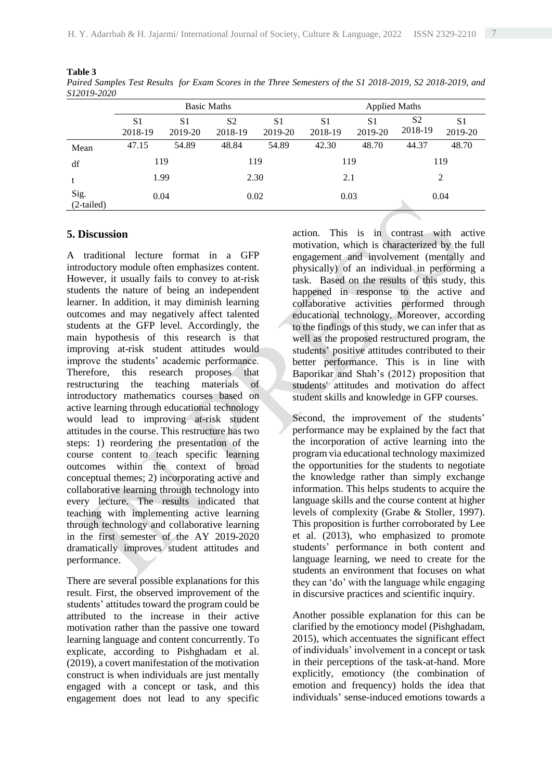**Table 3** *Paired Samples Test Results for Exam Scores in the Three Semesters of the S1 2018-2019, S2 2018-2019, and S12019-2020*

|                      |                           | <b>Basic Maths</b>        |                           |                           | <b>Applied Maths</b>      |                           |                           |                           |  |
|----------------------|---------------------------|---------------------------|---------------------------|---------------------------|---------------------------|---------------------------|---------------------------|---------------------------|--|
|                      | S <sub>1</sub><br>2018-19 | S <sub>1</sub><br>2019-20 | S <sub>2</sub><br>2018-19 | S <sub>1</sub><br>2019-20 | S <sub>1</sub><br>2018-19 | S <sub>1</sub><br>2019-20 | S <sub>2</sub><br>2018-19 | S <sub>1</sub><br>2019-20 |  |
| Mean                 | 47.15                     | 54.89                     | 48.84                     | 54.89                     | 42.30                     | 48.70                     | 44.37                     | 48.70                     |  |
| df                   | 119                       |                           | 119                       |                           | 119                       |                           | 119                       |                           |  |
|                      | 1.99                      |                           |                           | 2.30                      |                           | 2.1                       |                           | $\overline{2}$            |  |
| Sig.<br>$(2-tailed)$ | 0.04                      |                           |                           | 0.02                      |                           | 0.03                      |                           | 0.04                      |  |

# **5. Discussion**

A traditional lecture format in a GFP introductory module often emphasizes content. However, it usually fails to convey to at-risk students the nature of being an independent learner. In addition, it may diminish learning outcomes and may negatively affect talented students at the GFP level. Accordingly, the main hypothesis of this research is that improving at-risk student attitudes would improve the students' academic performance. Therefore, this research proposes that restructuring the teaching materials of introductory mathematics courses based on active learning through educational technology would lead to improving at-risk student attitudes in the course. This restructure has two steps: 1) reordering the presentation of the course content to teach specific learning outcomes within the context of broad conceptual themes; 2) incorporating active and collaborative learning through technology into every lecture. The results indicated that teaching with implementing active learning through technology and collaborative learning in the first semester of the AY 2019-2020 dramatically improves student attitudes and performance.

There are several possible explanations for this result. First, the observed improvement of the students' attitudes toward the program could be attributed to the increase in their active motivation rather than the passive one toward learning language and content concurrently. To explicate, according to Pishghadam et al. (2019), a covert manifestation of the motivation construct is when individuals are just mentally engaged with a concept or task, and this engagement does not lead to any specific action. This is in contrast with active motivation, which is characterized by the full engagement and involvement (mentally and physically) of an individual in performing a task. Based on the results of this study, this happened in response to the active and collaborative activities performed through educational technology. Moreover, according to the findings of this study, we can infer that as well as the proposed restructured program, the students' positive attitudes contributed to their better performance. This is in line with Baporikar and Shah's (2012) proposition that students' attitudes and motivation do affect student skills and knowledge in GFP courses.

Second, the improvement of the students' performance may be explained by the fact that the incorporation of active learning into the program via educational technology maximized the opportunities for the students to negotiate the knowledge rather than simply exchange information. This helps students to acquire the language skills and the course content at higher levels of complexity (Grabe & Stoller, 1997). This proposition is further corroborated by Lee et al. (2013), who emphasized to promote students' performance in both content and language learning, we need to create for the students an environment that focuses on what they can 'do' with the language while engaging in discursive practices and scientific inquiry.

Another possible explanation for this can be clarified by the emotioncy model (Pishghadam, 2015), which accentuates the significant effect of individuals' involvement in a concept or task in their perceptions of the task-at-hand. More explicitly, emotioncy (the combination of emotion and frequency) holds the idea that individuals' sense-induced emotions towards a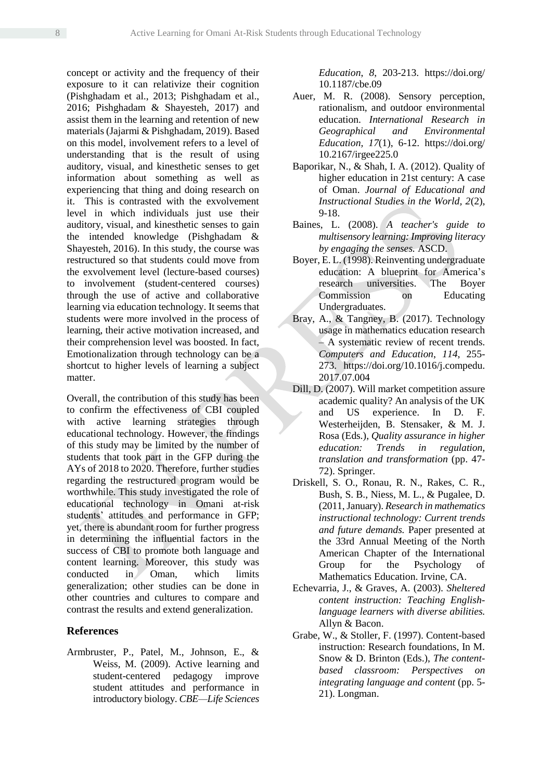concept or activity and the frequency of their exposure to it can relativize their cognition (Pishghadam et al., 2013; Pishghadam et al., 2016; Pishghadam & Shayesteh, 2017) and assist them in the learning and retention of new materials (Jajarmi & Pishghadam, 2019). Based on this model, involvement refers to a level of understanding that is the result of using auditory, visual, and kinesthetic senses to get information about something as well as experiencing that thing and doing research on it. This is contrasted with the exvolvement level in which individuals just use their auditory, visual, and kinesthetic senses to gain the intended knowledge (Pishghadam & Shayesteh, 2016). In this study, the course was restructured so that students could move from the exvolvement level (lecture-based courses) to involvement (student-centered courses) through the use of active and collaborative learning via education technology. It seems that students were more involved in the process of learning, their active motivation increased, and their comprehension level was boosted. In fact, Emotionalization through technology can be a shortcut to higher levels of learning a subject matter.

Overall, the contribution of this study has been to confirm the effectiveness of CBI coupled with active learning strategies through educational technology. However, the findings of this study may be limited by the number of students that took part in the GFP during the AYs of 2018 to 2020. Therefore, further studies regarding the restructured program would be worthwhile. This study investigated the role of educational technology in Omani at-risk students' attitudes and performance in GFP; yet, there is abundant room for further progress in determining the influential factors in the success of CBI to promote both language and content learning. Moreover, this study was conducted in Oman, which limits generalization; other studies can be done in other countries and cultures to compare and contrast the results and extend generalization.

# **References**

Armbruster, P., Patel, M., Johnson, E., & Weiss, M. (2009). Active learning and student-centered pedagogy improve student attitudes and performance in introductory biology. *CBE—Life Sciences* 

*Education*, *8*, 203-213. https://doi.org/ 10.1187/cbe.09

- Auer, M. R. (2008). Sensory perception, rationalism, and outdoor environmental education. *International Research in Geographical and Environmental Education, 17*(1), 6-12. https://doi.org/ 10.2167/irgee225.0
- Baporikar, N., & Shah, I. A. (2012). Quality of higher education in 21st century: A case of Oman. *Journal of Educational and Instructional Studies in the World, 2*(2), 9-18.
- Baines, L. (2008). *A teacher's guide to multisensory learning: Improving literacy by engaging the senses.* ASCD.
- Boyer, E. L. (1998). Reinventing undergraduate education: A blueprint for America's research universities. The Boyer Commission on Educating Undergraduates.
- Bray, A., & Tangney, B. (2017). Technology usage in mathematics education research – A systematic review of recent trends. *Computers and Education*, *114*, 255- 273. https://doi.org/10.1016/j.compedu. 2017.07.004
- Dill, D. (2007). Will market competition assure academic quality? An analysis of the UK and US experience. In D. F. Westerheijden, B. Stensaker, & M. J. Rosa (Eds.), *Quality assurance in higher education: Trends in regulation, translation and transformation* (pp. 47- 72). Springer.
- Driskell, S. O., Ronau, R. N., Rakes, C. R., Bush, S. B., Niess, M. L., & Pugalee, D. (2011, January). *Research in mathematics instructional technology: Current trends and future demands.* Paper presented at the 33rd Annual Meeting of the North American Chapter of the International Group for the Psychology of Mathematics Education. Irvine, CA.
- Echevarria, J., & Graves, A. (2003). *Sheltered content instruction: Teaching Englishlanguage learners with diverse abilities.* Allyn & Bacon.
- Grabe, W., & Stoller, F. (1997). Content-based instruction: Research foundations, In M. Snow & D. Brinton (Eds.), *The contentbased classroom: Perspectives on integrating language and content* (pp. 5- 21). Longman.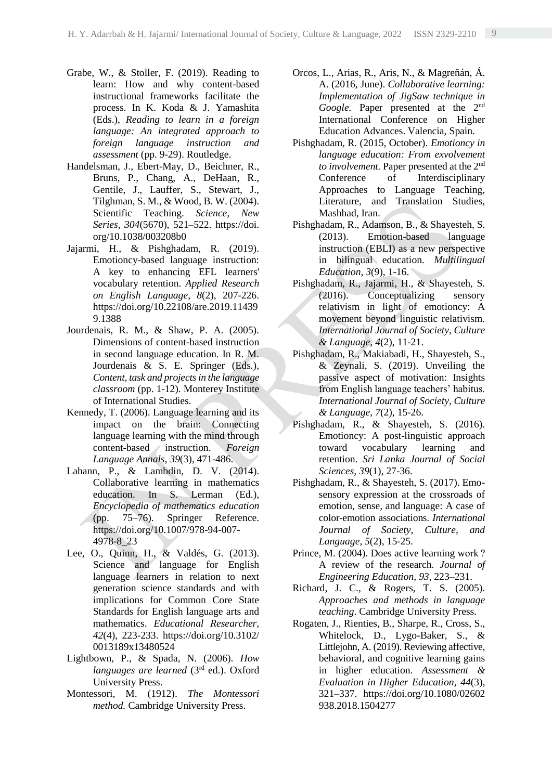- Grabe, W., & Stoller, F. (2019). Reading to learn: How and why content-based instructional frameworks facilitate the process. In K. Koda & J. Yamashita (Eds.), *Reading to learn in a foreign language: An integrated approach to foreign language instruction and assessment* (pp. 9-29). Routledge.
- Handelsman, J., Ebert-May, D., Beichner, R., Bruns, P., Chang, A., DeHaan, R., Gentile, J., Lauffer, S., Stewart, J., Tilghman, S. M., & Wood, B. W. (2004). Scientific Teaching. *Science, New Series*, *304*(5670), 521–522. https://doi. org/10.1038/003208b0
- Jajarmi, H., & Pishghadam, R. (2019). Emotioncy-based language instruction: A key to enhancing EFL learners' vocabulary retention. *Applied Research on English Language, 8*(2), 207-226. https://doi.org/10.22108/are.2019.11439 9.1388
- Jourdenais, R. M., & Shaw, P. A. (2005). Dimensions of content-based instruction in second language education. In R. M. Jourdenais & S. E. Springer (Eds.), *Content, task and projects in the language classroom* (pp. 1-12). Monterey Institute of International Studies.
- Kennedy, T. (2006). Language learning and its impact on the brain: Connecting language learning with the mind through content-based instruction. *Foreign Language Annals, 39*(3), 471-486.
- Lahann, P., & Lambdin, D. V. (2014). Collaborative learning in mathematics education. In S. Lerman (Ed.), *Encyclopedia of mathematics education* (pp. 75–76). Springer Reference. https://doi.org/10.1007/978-94-007- 4978-8\_23
- Lee, O., Quinn, H., & Valdés, G. (2013). Science and language for English language learners in relation to next generation science standards and with implications for Common Core State Standards for English language arts and mathematics. *Educational Researcher, 42*(4), 223-233. https://doi.org/10.3102/ 0013189x13480524
- Lightbown, P., & Spada, N. (2006). *How languages are learned* (3rd ed.). Oxford University Press.
- Montessori, M. (1912). *The Montessori method.* Cambridge University Press.
- Orcos, L., Arias, R., Aris, N., & Magreñán, Á. A. (2016, June). *Collaborative learning: Implementation of JigSaw technique in*  Google. Paper presented at the 2<sup>nd</sup> International Conference on Higher Education Advances. Valencia, Spain.
- Pishghadam, R. (2015, October). *Emotioncy in language education: From exvolvement to involvement.* Paper presented at the 2nd Conference of Interdisciplinary Approaches to Language Teaching, Literature, and Translation Studies, Mashhad, Iran.
- Pishghadam, R., Adamson, B., & Shayesteh, S. (2013). Emotion-based language instruction (EBLI) as a new perspective in bilingual education. *Multilingual Education, 3*(9), 1-16.
- Pishghadam, R., Jajarmi, H., & Shayesteh, S. (2016). Conceptualizing sensory relativism in light of emotioncy: A movement beyond linguistic relativism. *International Journal of Society, Culture & Language, 4*(2), 11-21.
- Pishghadam, R., Makiabadi, H., Shayesteh, S., & Zeynali, S. (2019). Unveiling the passive aspect of motivation: Insights from English language teachers' habitus. *International Journal of Society, Culture & Language, 7*(2), 15-26.
- Pishghadam, R., & Shayesteh, S. (2016). Emotioncy: A post-linguistic approach toward vocabulary learning and retention. *Sri Lanka Journal of Social Sciences, 39*(1), 27-36.
- Pishghadam, R., & Shayesteh, S. (2017). Emosensory expression at the crossroads of emotion, sense, and language: A case of color-emotion associations. *International Journal of Society, Culture, and Language, 5*(2), 15-25.
- Prince, M. (2004). Does active learning work ? A review of the research. *Journal of Engineering Education*, *93*, 223–231.
- Richard, J. C., & Rogers, T. S. (2005). *Approaches and methods in language teaching*. Cambridge University Press.
- Rogaten, J., Rienties, B., Sharpe, R., Cross, S., Whitelock, D., Lygo-Baker, S., & Littlejohn, A. (2019). Reviewing affective, behavioral, and cognitive learning gains in higher education. *Assessment & Evaluation in Higher Education*, *44*(3), 321–337. https://doi.org/10.1080/02602 938.2018.1504277